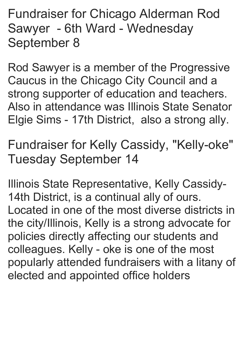Fundraiser for Chicago Alderman Rod Sawyer - 6th Ward - Wednesday September 8

Rod Sawyer is a member of the Progressive Caucus in the Chicago City Council and a strong supporter of education and teachers. Also in attendance was Illinois State Senator Elgie Sims - 17th District, also a strong ally.

Fundraiser for Kelly Cassidy, "Kelly-oke" Tuesday September 14

Illinois State Representative, Kelly Cassidy-14th District, is a continual ally of ours. Located in one of the most diverse districts in the city/Illinois, Kelly is a strong advocate for policies directly affecting our students and colleagues. Kelly - oke is one of the most popularly attended fundraisers with a litany of elected and appointed office holders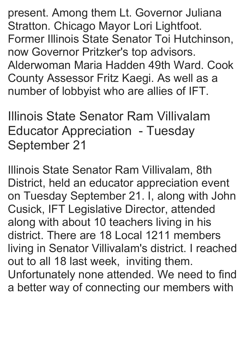present. Among them Lt. Governor Juliana Stratton. Chicago Mayor Lori Lightfoot. Former Illinois State Senator Toi Hutchinson, now Governor Pritzker's top advisors. Alderwoman Maria Hadden 49th Ward. Cook County Assessor Fritz Kaegi. As well as a number of lobbyist who are allies of IFT.

Illinois State Senator Ram Villivalam Educator Appreciation - Tuesday September 21

Illinois State Senator Ram Villivalam, 8th District, held an educator appreciation event on Tuesday September 21. I, along with John Cusick, IFT Legislative Director, attended along with about 10 teachers living in his district. There are 18 Local 1211 members living in Senator Villivalam's district. I reached out to all 18 last week, inviting them. Unfortunately none attended. We need to find a better way of connecting our members with